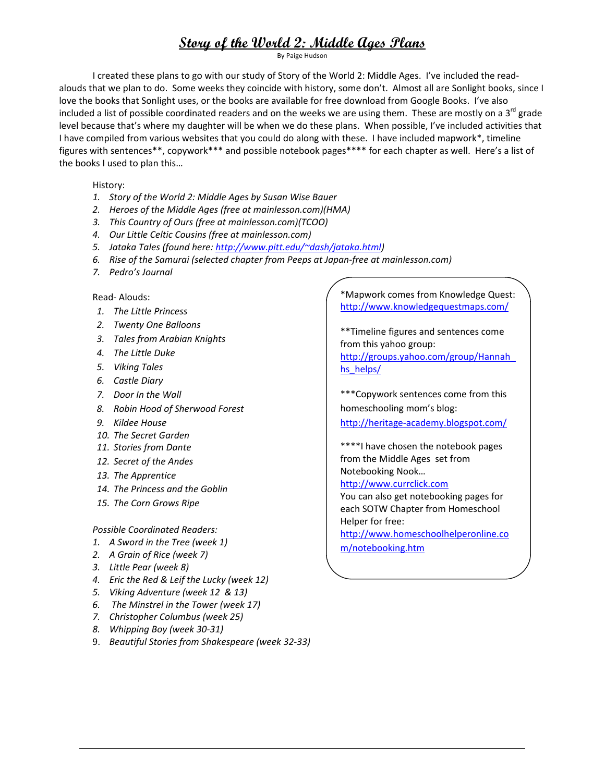By Paige Hudson

I created these plans to go with our study of Story of the World 2: Middle Ages. I've included the read‐ alouds that we plan to do. Some weeks they coincide with history, some don't. Almost all are Sonlight books, since I love the books that Sonlight uses, or the books are available for free download from Google Books. I've also included a list of possible coordinated readers and on the weeks we are using them. These are mostly on a 3<sup>rd</sup> grade level because that's where my daughter will be when we do these plans. When possible, I've included activities that I have compiled from various websites that you could do along with these. I have included mapwork\*, timeline figures with sentences\*\*, copywork\*\*\* and possible notebook pages\*\*\*\* for each chapter as well. Here's a list of the books I used to plan this…

History:

- *1. Story of the World 2: Middle Ages by Susan Wise Bauer*
- *2. Heroes of the Middle Ages (free at mainlesson.com)(HMA)*
- *3. This Country of Ours (free at mainlesson.com)(TCOO)*
- *4. Our Little Celtic Cousins (free at mainlesson.com)*
- *5. Jataka Tales (found here: http://www.pitt.edu/~dash/jataka.html)*
- *6. Rise of the Samurai (selected chapter from Peeps at Japan‐free at mainlesson.com)*
- *7. Pedro's Journal*

#### Read‐ Alouds:

- *1. The Little Princess*
- *2. Twenty One Balloons*
- *3. Tales from Arabian Knights*
- *4. The Little Duke*
- *5. Viking Tales*
- *6. Castle Diary*
- *7. Door In the Wall*
- *8. Robin Hood of Sherwood Forest*
- *9. Kildee House*
- *10. The Secret Garden*
- *11. Stories from Dante*
- *12. Secret of the Andes*
- *13. The Apprentice*
- *14. The Princess and the Goblin*
- *15. The Corn Grows Ripe*

*Possible Coordinated Readers:*

- *1. A Sword in the Tree (week 1)*
- *2. A Grain of Rice (week 7)*
- *3. Little Pear (week 8)*
- *4. Eric the Red & Leif the Lucky (week 12)*
- *5. Viking Adventure (week 12 & 13)*
- *6. The Minstrel in the Tower (week 17)*
- *7. Christopher Columbus (week 25)*
- *8. Whipping Boy (week 30‐31)*
- 9. *Beautiful Stories from Shakespeare (week 32‐33)*

\*Mapwork comes from Knowledge Quest: http://www.knowledgequestmaps.com/

\*\*Timeline figures and sentences come from this yahoo group: http://groups.yahoo.com/group/Hannah\_ hs\_helps/

\*\*\*Copywork sentences come from this homeschooling mom's blog:

http://heritage-academy.blogspot.com/

\*\*\*\*I have chosen the notebook pages from the Middle Ages set from Notebooking Nook…

#### http://www.currclick.com

You can also get notebooking pages for each SOTW Chapter from Homeschool Helper for free:

http://www.homeschoolhelperonline.co

m/notebooking.htm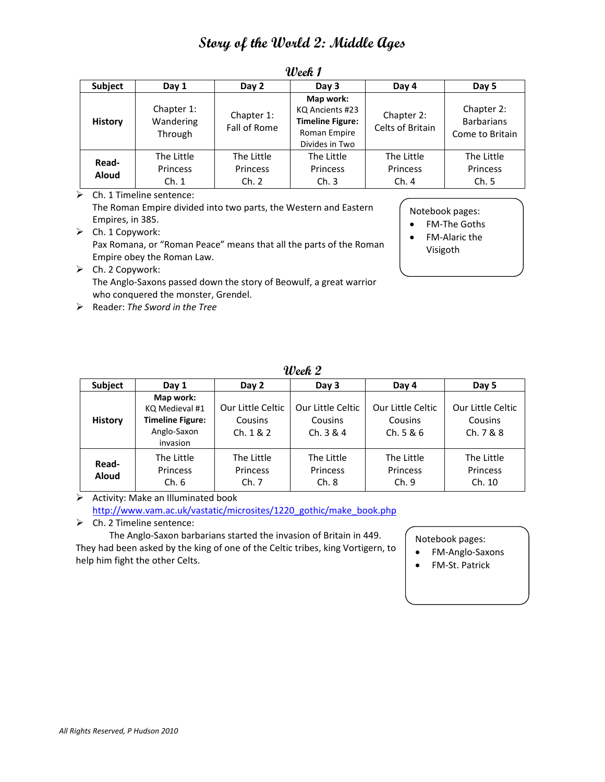| Subject               | Day 1                              | Day 2                           | Day 3                                                                                     | Day 4                          | Day 5                                              |  |
|-----------------------|------------------------------------|---------------------------------|-------------------------------------------------------------------------------------------|--------------------------------|----------------------------------------------------|--|
| <b>History</b>        | Chapter 1:<br>Wandering<br>Through | Chapter 1:<br>Fall of Rome      | Map work:<br>KQ Ancients #23<br><b>Timeline Figure:</b><br>Roman Empire<br>Divides in Two | Chapter 2:<br>Celts of Britain | Chapter 2:<br><b>Barbarians</b><br>Come to Britain |  |
| Read-<br><b>Aloud</b> | The Little<br>Princess<br>Ch.1     | The Little<br>Princess<br>Ch. 2 | The Little<br>Princess<br>Ch.3                                                            | The Little<br>Princess<br>Ch.4 | The Little<br>Princess<br>Ch.5                     |  |

**Week 1**

 $\triangleright$  Ch. 1 Timeline sentence: The Roman Empire divided into two parts, the Western and Eastern Empires, in 385.

 $\triangleright$  Ch. 1 Copywork: Pax Romana, or "Roman Peace" means that all the parts of the Roman Empire obey the Roman Law.

- $\triangleright$  Ch. 2 Copywork: The Anglo‐Saxons passed down the story of Beowulf, a great warrior who conquered the monster, Grendel.
- Reader: *The Sword in the Tree*

Notebook pages:

- FM-The Goths
- FM‐Alaric the Visigoth

| Week 2 |  |
|--------|--|
|--------|--|

| <b>Subject</b>        | Day 1                                                                             | Day 2                                     | Day 3                                     | Day 4                                     | Day 5                                     |
|-----------------------|-----------------------------------------------------------------------------------|-------------------------------------------|-------------------------------------------|-------------------------------------------|-------------------------------------------|
| <b>History</b>        | Map work:<br>KQ Medieval #1<br><b>Timeline Figure:</b><br>Anglo-Saxon<br>invasion | Our Little Celtic<br>Cousins<br>Ch. 1 & 2 | Our Little Celtic<br>Cousins<br>Ch. 3 & 4 | Our Little Celtic<br>Cousins<br>Ch. 5 & 6 | Our Little Celtic<br>Cousins<br>Ch. 7 & 8 |
| Read-<br><b>Aloud</b> | The Little<br>Princess<br>Ch.6                                                    | The Little<br><b>Princess</b><br>Ch. 7    | The Little<br>Princess<br>Ch.8            | The Little<br>Princess<br>Ch.9            | The Little<br>Princess<br>Ch. 10          |

 $\triangleright$  Activity: Make an Illuminated book http://www.vam.ac.uk/vastatic/microsites/1220\_gothic/make\_book.php

 $\triangleright$  Ch. 2 Timeline sentence:

The Anglo‐Saxon barbarians started the invasion of Britain in 449.

They had been asked by the king of one of the Celtic tribes, king Vortigern, to help him fight the other Celts.

Notebook pages:

- FM-Anglo-Saxons
- FM‐St. Patrick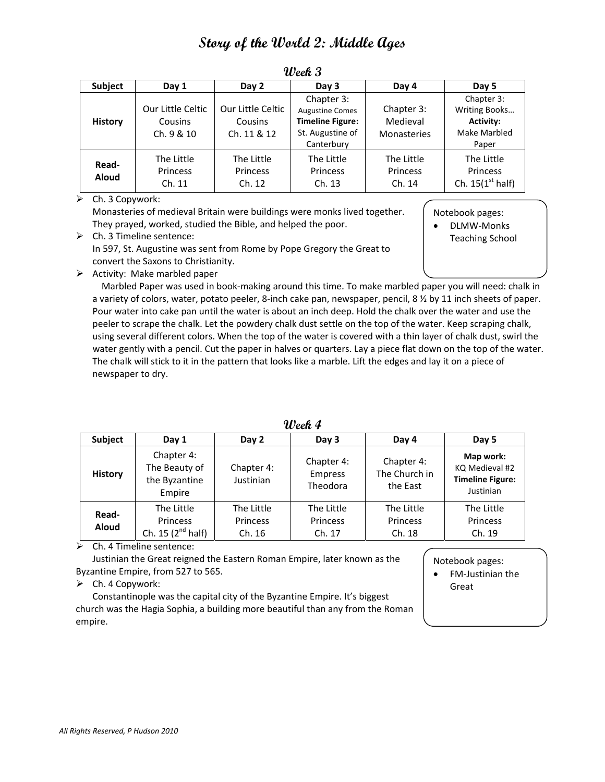| <b>Subject</b>        | Day 1                                      | Day 2                                       | Day 3                                                                                             | Day 4                                        | Day 5                                                                    |
|-----------------------|--------------------------------------------|---------------------------------------------|---------------------------------------------------------------------------------------------------|----------------------------------------------|--------------------------------------------------------------------------|
| <b>History</b>        | Our Little Celtic<br>Cousins<br>Ch. 9 & 10 | Our Little Celtic<br>Cousins<br>Ch. 11 & 12 | Chapter 3:<br><b>Augustine Comes</b><br><b>Timeline Figure:</b><br>St. Augustine of<br>Canterbury | Chapter 3:<br>Medieval<br><b>Monasteries</b> | Chapter 3:<br>Writing Books<br><b>Activity:</b><br>Make Marbled<br>Paper |
| Read-<br><b>Aloud</b> | The Little<br>Princess<br>Ch. 11           | The Little<br>Princess<br>Ch. 12            | The Little<br>Princess<br>Ch. 13                                                                  | The Little<br>Princess<br>Ch. 14             | The Little<br>Princess<br>Ch. $15(1st half)$                             |

**Week 3**

 $\triangleright$  Ch. 3 Copywork:

Monasteries of medieval Britain were buildings were monks lived together. They prayed, worked, studied the Bible, and helped the poor.

Notebook pages:

● DLMW-Monks

- $\triangleright$  Ch. 3 Timeline sentence: In 597, St. Augustine was sent from Rome by Pope Gregory the Great to convert the Saxons to Christianity.
- Teaching School

 $\triangleright$  Activity: Make marbled paper

Marbled Paper was used in book‐making around this time. To make marbled paper you will need: chalk in a variety of colors, water, potato peeler, 8‐inch cake pan, newspaper, pencil, 8 ½ by 11 inch sheets of paper. Pour water into cake pan until the water is about an inch deep. Hold the chalk over the water and use the peeler to scrape the chalk. Let the powdery chalk dust settle on the top of the water. Keep scraping chalk, using several different colors. When the top of the water is covered with a thin layer of chalk dust, swirl the water gently with a pencil. Cut the paper in halves or quarters. Lay a piece flat down on the top of the water. The chalk will stick to it in the pattern that looks like a marble. Lift the edges and lay it on a piece of newspaper to dry.

| wcar 7                |                                                        |                                  |                                          |                                         |                                                                     |  |  |
|-----------------------|--------------------------------------------------------|----------------------------------|------------------------------------------|-----------------------------------------|---------------------------------------------------------------------|--|--|
| <b>Subject</b>        | Day 1                                                  | Day 2                            | Day 3                                    | Day 4                                   | Day 5                                                               |  |  |
| <b>History</b>        | Chapter 4:<br>The Beauty of<br>the Byzantine<br>Empire | Chapter 4:<br>Justinian          | Chapter 4:<br><b>Empress</b><br>Theodora | Chapter 4:<br>The Church in<br>the East | Map work:<br>KQ Medieval #2<br><b>Timeline Figure:</b><br>Justinian |  |  |
| Read-<br><b>Aloud</b> | The Little<br>Princess<br>Ch. 15 $(2^{nd}$ half)       | The Little<br>Princess<br>Ch. 16 | The Little<br>Princess<br>Ch. 17         | The Little<br>Princess<br>Ch. 18        | The Little<br>Princess<br>Ch. 19                                    |  |  |

**Week 4**

 $\triangleright$  Ch. 4 Timeline sentence:

Justinian the Great reigned the Eastern Roman Empire, later known as the Byzantine Empire, from 527 to 565.

 $\triangleright$  Ch. 4 Copywork:

Constantinople was the capital city of the Byzantine Empire. It's biggest church was the Hagia Sophia, a building more beautiful than any from the Roman empire.

#### Notebook pages:

 FM‐Justinian the Great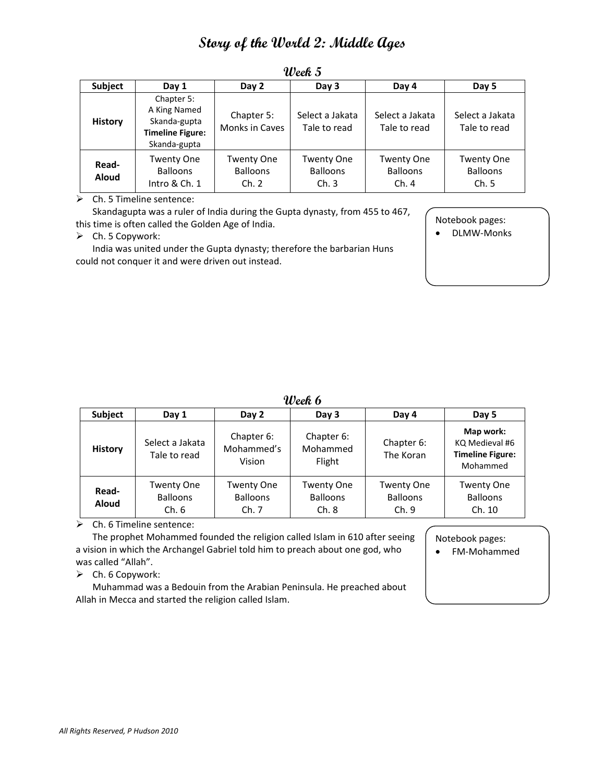| <b>Subject</b>        | Day 1                                                                                 | Day 2                                         | Day 3                                        | Day 4                                        | Day 5                                         |
|-----------------------|---------------------------------------------------------------------------------------|-----------------------------------------------|----------------------------------------------|----------------------------------------------|-----------------------------------------------|
| <b>History</b>        | Chapter 5:<br>A King Named<br>Skanda-gupta<br><b>Timeline Figure:</b><br>Skanda-gupta | Chapter 5:<br>Monks in Caves                  | Select a Jakata<br>Tale to read              | Select a Jakata<br>Tale to read              | Select a Jakata<br>Tale to read               |
| Read-<br><b>Aloud</b> | <b>Twenty One</b><br><b>Balloons</b><br>Intro & Ch. 1                                 | <b>Twenty One</b><br><b>Balloons</b><br>Ch. 2 | <b>Twenty One</b><br><b>Balloons</b><br>Ch.3 | <b>Twenty One</b><br><b>Balloons</b><br>Ch.4 | <b>Twenty One</b><br><b>Balloons</b><br>Ch. 5 |

**Week 5**

 $\triangleright$  Ch. 5 Timeline sentence:

Skandagupta was a ruler of India during the Gupta dynasty, from 455 to 467, this time is often called the Golden Age of India.

#### $\triangleright$  Ch. 5 Copywork:

India was united under the Gupta dynasty; therefore the barbarian Huns could not conquer it and were driven out instead.

Notebook pages:

● DLMW-Monks

| Week 6 |  |
|--------|--|
|--------|--|

| <b>Subject</b>        | Day 1                                         | Day 2                                         | Day 3                                         | Day 4                                        | Day 5                                                              |
|-----------------------|-----------------------------------------------|-----------------------------------------------|-----------------------------------------------|----------------------------------------------|--------------------------------------------------------------------|
| <b>History</b>        | Select a Jakata<br>Tale to read               | Chapter 6:<br>Mohammed's<br>Vision            | Chapter 6:<br>Mohammed<br>Flight              | Chapter 6:<br>The Koran                      | Map work:<br>KQ Medieval #6<br><b>Timeline Figure:</b><br>Mohammed |
| Read-<br><b>Aloud</b> | <b>Twenty One</b><br><b>Balloons</b><br>Ch. 6 | <b>Twenty One</b><br><b>Balloons</b><br>Ch. 7 | <b>Twenty One</b><br><b>Balloons</b><br>Ch. 8 | <b>Twenty One</b><br><b>Balloons</b><br>Ch.9 | <b>Twenty One</b><br><b>Balloons</b><br>Ch. 10                     |

 $\triangleright$  Ch. 6 Timeline sentence:

The prophet Mohammed founded the religion called Islam in 610 after seeing a vision in which the Archangel Gabriel told him to preach about one god, who was called "Allah".

Notebook pages:

• FM-Mohammed

 $\triangleright$  Ch. 6 Copywork:

Muhammad was a Bedouin from the Arabian Peninsula. He preached about Allah in Mecca and started the religion called Islam.

*All Rights Reserved, P Hudson 2010*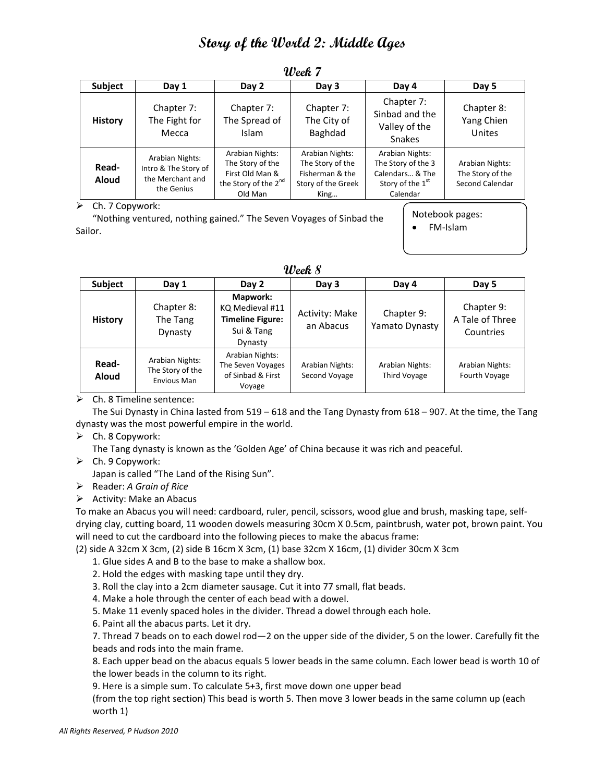| Subject               | Day 1                                                                     | Day 2                                                                                                 | Day 3                                                                                | Day 4                                                                                                | Day 5                                                  |  |  |  |  |  |  |
|-----------------------|---------------------------------------------------------------------------|-------------------------------------------------------------------------------------------------------|--------------------------------------------------------------------------------------|------------------------------------------------------------------------------------------------------|--------------------------------------------------------|--|--|--|--|--|--|
| <b>History</b>        | Chapter 7:<br>The Fight for<br>Mecca                                      | Chapter 7:<br>The Spread of<br><b>Islam</b>                                                           | Chapter 7:<br>The City of<br>Baghdad                                                 | Chapter 7:<br>Sinbad and the<br>Valley of the<br><b>Snakes</b>                                       | Chapter 8:<br>Yang Chien<br>Unites                     |  |  |  |  |  |  |
| Read-<br><b>Aloud</b> | Arabian Nights:<br>Intro & The Story of<br>the Merchant and<br>the Genius | Arabian Nights:<br>The Story of the<br>First Old Man &<br>the Story of the 2 <sup>nd</sup><br>Old Man | Arabian Nights:<br>The Story of the<br>Fisherman & the<br>Story of the Greek<br>King | Arabian Nights:<br>The Story of the 3<br>Calendars & The<br>Story of the 1 <sup>st</sup><br>Calendar | Arabian Nights:<br>The Story of the<br>Second Calendar |  |  |  |  |  |  |
| ↖                     |                                                                           |                                                                                                       |                                                                                      |                                                                                                      | $Ch$ $T$ Campuartu                                     |  |  |  |  |  |  |

### **Week 7**

Ch. 7 Copywork:

"Nothing ventured, nothing gained." The Seven Voyages of Sinbad the Sailor.

| Notebook pages: |  |  |  |
|-----------------|--|--|--|
|                 |  |  |  |

FM‐Islam

| Week $\boldsymbol{\mathcal{S}}$ |  |
|---------------------------------|--|
|---------------------------------|--|

| <b>Subject</b>        | Day 1                                                     | Day 2                                                                           | Day 3                            | Day 4                           | Day 5                                      |
|-----------------------|-----------------------------------------------------------|---------------------------------------------------------------------------------|----------------------------------|---------------------------------|--------------------------------------------|
| <b>History</b>        | Chapter 8:<br>The Tang<br>Dynasty                         | Mapwork:<br>KQ Medieval #11<br><b>Timeline Figure:</b><br>Sui & Tang<br>Dynasty | Activity: Make<br>an Abacus      | Chapter 9:<br>Yamato Dynasty    | Chapter 9:<br>A Tale of Three<br>Countries |
| Read-<br><b>Aloud</b> | Arabian Nights:<br>The Story of the<br><b>Envious Man</b> | Arabian Nights:<br>The Seven Voyages<br>of Sinbad & First<br>Voyage             | Arabian Nights:<br>Second Voyage | Arabian Nights:<br>Third Voyage | Arabian Nights:<br>Fourth Voyage           |

 $\triangleright$  Ch. 8 Timeline sentence:

The Sui Dynasty in China lasted from 519 – 618 and the Tang Dynasty from 618 – 907. At the time, the Tang dynasty was the most powerful empire in the world.

 $\triangleright$  Ch. 8 Copywork:

The Tang dynasty is known as the 'Golden Age' of China because it was rich and peaceful.

 $\triangleright$  Ch. 9 Copywork:

Japan is called "The Land of the Rising Sun".

- Reader: *A Grain of Rice*
- $\triangleright$  Activity: Make an Abacus

To make an Abacus you will need: cardboard, ruler, pencil, scissors, wood glue and brush, masking tape, self‐ drying clay, cutting board, 11 wooden dowels measuring 30cm X 0.5cm, paintbrush, water pot, brown paint. You will need to cut the cardboard into the following pieces to make the abacus frame:

(2) side A 32cm X 3cm, (2) side B 16cm X 3cm, (1) base 32cm X 16cm, (1) divider 30cm X 3cm

- 1. Glue sides A and B to the base to make a shallow box.
- 2. Hold the edges with masking tape until they dry.

3. Roll the clay into a 2cm diameter sausage. Cut it into 77 small, flat beads.

4. Make a hole through the center of each bead with a dowel.

5. Make 11 evenly spaced holes in the divider. Thread a dowel through each hole.

6. Paint all the abacus parts. Let it dry.

7. Thread 7 beads on to each dowel rod—2 on the upper side of the divider, 5 on the lower. Carefully fit the beads and rods into the main frame.

8. Each upper bead on the abacus equals 5 lower beads in the same column. Each lower bead is worth 10 of the lower beads in the column to its right.

9. Here is a simple sum. To calculate 5+3, first move down one upper bead

(from the top right section) This bead is worth 5. Then move 3 lower beads in the same column up (each worth 1)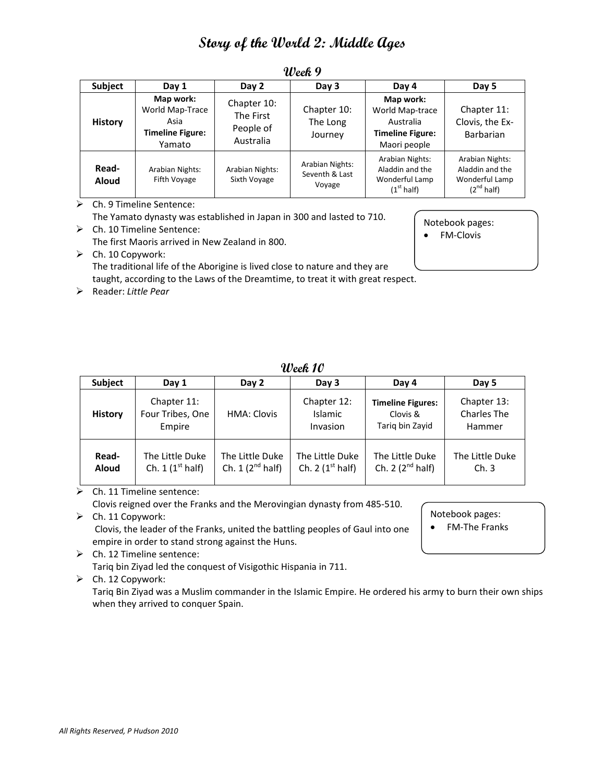| <b>Subject</b>        | Day 1                                                                     | Day 2                                              | Day 3                                       | Day 4                                                                                | Day 5                                                                   |
|-----------------------|---------------------------------------------------------------------------|----------------------------------------------------|---------------------------------------------|--------------------------------------------------------------------------------------|-------------------------------------------------------------------------|
| <b>History</b>        | Map work:<br>World Map-Trace<br>Asia<br><b>Timeline Figure:</b><br>Yamato | Chapter 10:<br>The First<br>People of<br>Australia | Chapter 10:<br>The Long<br>Journey          | Map work:<br>World Map-trace<br>Australia<br><b>Timeline Figure:</b><br>Maori people | Chapter 11:<br>Clovis, the Ex-<br><b>Barbarian</b>                      |
| Read-<br><b>Aloud</b> | Arabian Nights:<br>Fifth Voyage                                           | Arabian Nights:<br>Sixth Voyage                    | Arabian Nights:<br>Seventh & Last<br>Voyage | Arabian Nights:<br>Aladdin and the<br>Wonderful Lamp<br>(1 <sup>st</sup> half)       | Arabian Nights:<br>Aladdin and the<br>Wonderful Lamp<br>$(2^{nd}$ half) |

**Week 9**

Ch. 9 Timeline Sentence:

Ch. 10 Timeline Sentence:

The Yamato dynasty was established in Japan in 300 and lasted to 710.

Notebook pages: ● FM-Clovis

Notebook pages: • FM-The Franks

The first Maoris arrived in New Zealand in 800.

 $\triangleright$  Ch. 10 Copywork: The traditional life of the Aborigine is lived close to nature and they are taught, according to the Laws of the Dreamtime, to treat it with great respect.

Reader: *Little Pear*

**Week 10**

| <b>Subject</b>        | Day 1                                     | Day 2                                   | Day 3                                 | Day 4                                                   | Day 5                                |
|-----------------------|-------------------------------------------|-----------------------------------------|---------------------------------------|---------------------------------------------------------|--------------------------------------|
| <b>History</b>        | Chapter 11:<br>Four Tribes, One<br>Empire | <b>HMA: Clovis</b>                      | Chapter 12:<br>Islamic<br>Invasion    | <b>Timeline Figures:</b><br>Clovis &<br>Tarig bin Zavid | Chapter 13:<br>Charles The<br>Hammer |
| Read-<br><b>Aloud</b> | The Little Duke<br>Ch. 1 $(1st half)$     | The Little Duke<br>Ch. $1(2^{nd}$ half) | The Little Duke<br>Ch. 2 $(1st half)$ | The Little Duke<br>Ch. 2 $(2^{nd}$ half)                | The Little Duke<br>Ch.3              |

Ch. 11 Timeline sentence:

Clovis reigned over the Franks and the Merovingian dynasty from 485‐510.

 $\triangleright$  Ch. 11 Copywork:

Clovis, the leader of the Franks, united the battling peoples of Gaul into one empire in order to stand strong against the Huns.

 $\triangleright$  Ch. 12 Timeline sentence:

Tariq bin Ziyad led the conquest of Visigothic Hispania in 711.

 $\triangleright$  Ch. 12 Copywork:

Tariq Bin Ziyad was a Muslim commander in the Islamic Empire. He ordered his army to burn their own ships when they arrived to conquer Spain.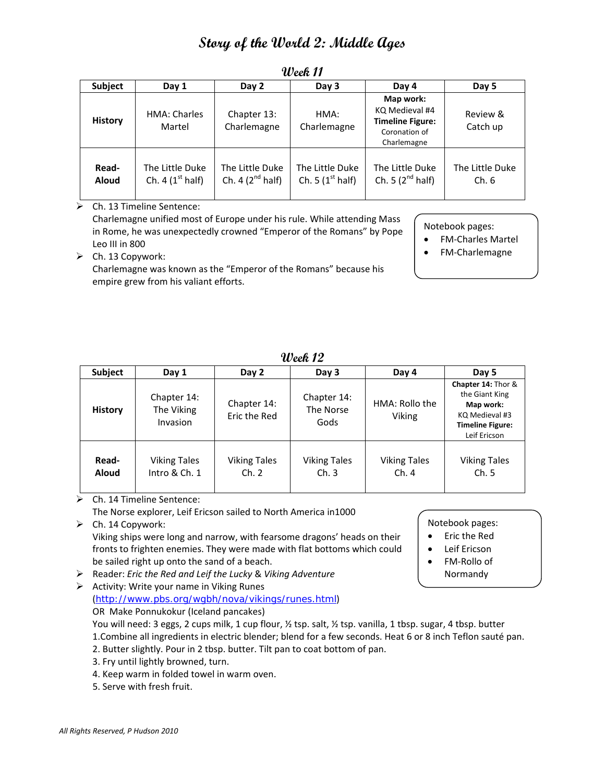| <b>Subject</b>        | Day 1                                 | Day 2                                    | Day 3                                 | Day 4                                                                                  | Day 5                   |
|-----------------------|---------------------------------------|------------------------------------------|---------------------------------------|----------------------------------------------------------------------------------------|-------------------------|
| <b>History</b>        | <b>HMA: Charles</b><br>Martel         | Chapter 13:<br>Charlemagne               | HMA:<br>Charlemagne                   | Map work:<br>KQ Medieval #4<br><b>Timeline Figure:</b><br>Coronation of<br>Charlemagne | Review &<br>Catch up    |
| Read-<br><b>Aloud</b> | The Little Duke<br>Ch. 4 $(1st half)$ | The Little Duke<br>Ch. 4 $(2^{nd}$ half) | The Little Duke<br>Ch. 5 $(1st half)$ | The Little Duke<br>Ch. 5 $(2^{nd}$ half)                                               | The Little Duke<br>Ch.6 |

### **Week 11**

Ch. 13 Timeline Sentence:

Charlemagne unified most of Europe under his rule. While attending Mass in Rome, he was unexpectedly crowned "Emperor of the Romans" by Pope Leo III in 800

Notebook pages:

- FM‐Charles Martel
- FM‐Charlemagne

 $\triangleright$  Ch. 13 Copywork:

Charlemagne was known as the "Emperor of the Romans" because his empire grew from his valiant efforts.

| <b>Subject</b>        | Day 1                                 | Day 2                        | Day 3                            | Day 4                       | Day 5                                                                                                          |
|-----------------------|---------------------------------------|------------------------------|----------------------------------|-----------------------------|----------------------------------------------------------------------------------------------------------------|
| <b>History</b>        | Chapter 14:<br>The Viking<br>Invasion | Chapter 14:<br>Eric the Red  | Chapter 14:<br>The Norse<br>Gods | HMA: Rollo the<br>Viking    | Chapter 14: Thor &<br>the Giant King<br>Map work:<br>KQ Medieval #3<br><b>Timeline Figure:</b><br>Leif Ericson |
| Read-<br><b>Aloud</b> | <b>Viking Tales</b><br>Intro & Ch. 1  | <b>Viking Tales</b><br>Ch. 2 | <b>Viking Tales</b><br>Ch.3      | <b>Viking Tales</b><br>Ch.4 | <b>Viking Tales</b><br>Ch.5                                                                                    |

**Week 12**

Ch. 14 Timeline Sentence:

The Norse explorer, Leif Ericson sailed to North America in1000

- $\triangleright$  Ch. 14 Copywork: Viking ships were long and narrow, with fearsome dragons' heads on their fronts to frighten enemies. They were made with flat bottoms which could
- Reader: *Eric the Red and Leif the Lucky* & *Viking Adventure*
- $\triangleright$  Activity: Write your name in Viking Runes (http://www.pbs.org/wgbh/nova/vikings/runes.html) OR Make Ponnukokur (Iceland pancakes)
	- You will need: 3 eggs, 2 cups milk, 1 cup flour, 1/2 tsp. salt, 1/2 tsp. vanilla, 1 tbsp. sugar, 4 tbsp. butter 1.Combine all ingredients in electric blender; blend for a few seconds. Heat 6 or 8 inch Teflon sauté pan.
	- 2. Butter slightly. Pour in 2 tbsp. butter. Tilt pan to coat bottom of pan.
	- 3. Fry until lightly browned, turn.
	- 4. Keep warm in folded towel in warm oven.

be sailed right up onto the sand of a beach.

5. Serve with fresh fruit.

### Notebook pages:

- Eric the Red
- Leif Ericson
- FM-Rollo of
- Normandy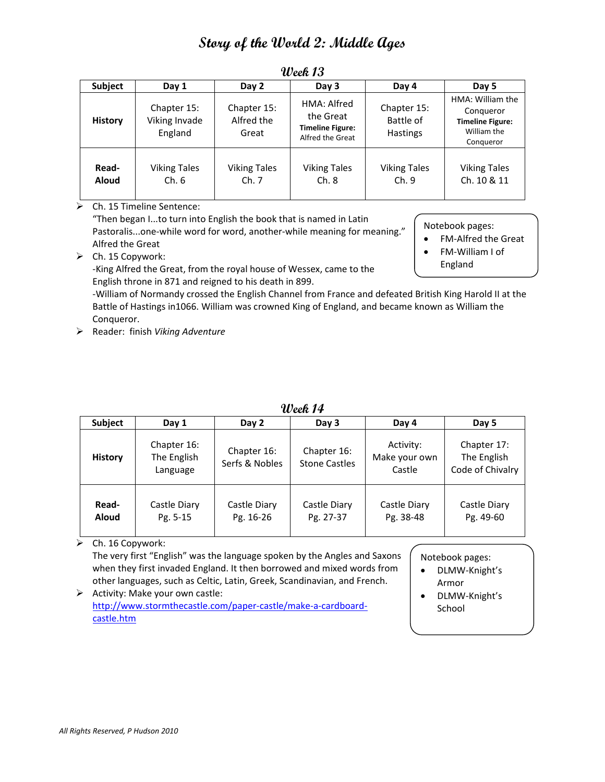| <b>Subject</b>        | Day 1                                   | Day 2                              | Day 3                                                                   | Day 4                                | Day 5                                                                                |
|-----------------------|-----------------------------------------|------------------------------------|-------------------------------------------------------------------------|--------------------------------------|--------------------------------------------------------------------------------------|
| <b>History</b>        | Chapter 15:<br>Viking Invade<br>England | Chapter 15:<br>Alfred the<br>Great | HMA: Alfred<br>the Great<br><b>Timeline Figure:</b><br>Alfred the Great | Chapter 15:<br>Battle of<br>Hastings | HMA: William the<br>Conqueror<br><b>Timeline Figure:</b><br>William the<br>Conqueror |
| Read-<br><b>Aloud</b> | <b>Viking Tales</b><br>Ch.6             | <b>Viking Tales</b><br>Ch.7        | <b>Viking Tales</b><br>Ch.8                                             | <b>Viking Tales</b><br>Ch.9          | <b>Viking Tales</b><br>Ch. 10 & 11                                                   |

### **Week 13**

Ch. 15 Timeline Sentence:

"Then began I...to turn into English the book that is named in Latin Pastoralis...one-while word for word, another-while meaning for meaning." Alfred the Great  $\triangleright$  Ch. 15 Copywork:

Notebook pages:

- FM‐Alfred the Great
- FM‐William I of
- England

‐King Alfred the Great, from the royal house of Wessex, came to the English throne in 871 and reigned to his death in 899.

‐William of Normandy crossed the English Channel from France and defeated British King Harold II at the Battle of Hastings in1066. William was crowned King of England, and became known as William the Conqueror.

Reader: finish *Viking Adventure*

| <b>Subject</b>        | Day 1                                  | Day 2                         | Day 3                               | Day 4                                | Day 5                                          |
|-----------------------|----------------------------------------|-------------------------------|-------------------------------------|--------------------------------------|------------------------------------------------|
| <b>History</b>        | Chapter 16:<br>The English<br>Language | Chapter 16:<br>Serfs & Nobles | Chapter 16:<br><b>Stone Castles</b> | Activity:<br>Make your own<br>Castle | Chapter 17:<br>The English<br>Code of Chivalry |
| Read-<br><b>Aloud</b> | Castle Diary<br>Pg. 5-15               | Castle Diary<br>Pg. 16-26     | Castle Diary<br>Pg. 27-37           | Castle Diary<br>Pg. 38-48            | Castle Diary<br>Pg. 49-60                      |

 $\triangleright$  Ch. 16 Copywork:

The very first "English" was the language spoken by the Angles and Saxons when they first invaded England. It then borrowed and mixed words from other languages, such as Celtic, Latin, Greek, Scandinavian, and French.

 $\triangleright$  Activity: Make your own castle: http://www.stormthecastle.com/paper‐castle/make‐a‐cardboard‐ castle.htm

Notebook pages:

- DLMW‐Knight's Armor
- DLMW‐Knight's School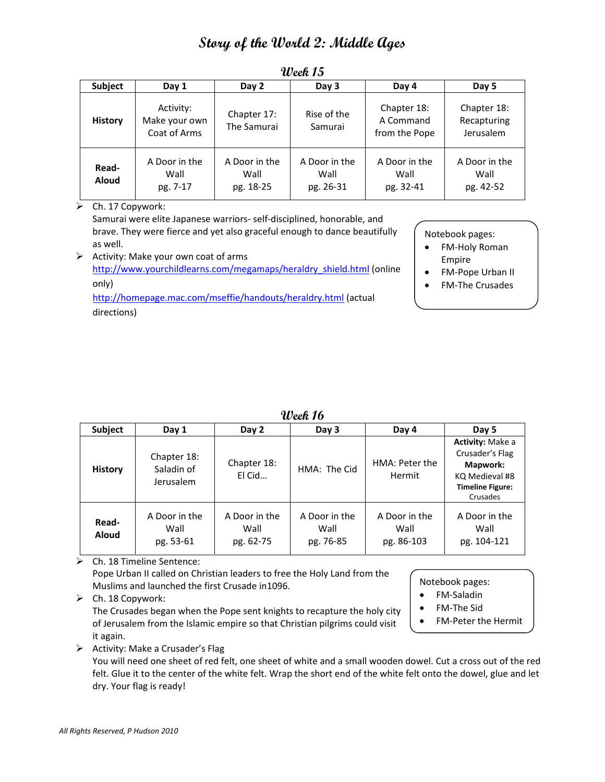| <b>Subject</b>        | Day 1                                      | Day 2                              | Day 3                              | Day 4                                     | Day 5                                   |
|-----------------------|--------------------------------------------|------------------------------------|------------------------------------|-------------------------------------------|-----------------------------------------|
| <b>History</b>        | Activity:<br>Make your own<br>Coat of Arms | Chapter 17:<br>The Samurai         | Rise of the<br>Samurai             | Chapter 18:<br>A Command<br>from the Pope | Chapter 18:<br>Recapturing<br>Jerusalem |
| Read-<br><b>Aloud</b> | A Door in the<br>Wall<br>pg. 7-17          | A Door in the<br>Wall<br>pg. 18-25 | A Door in the<br>Wall<br>pg. 26-31 | A Door in the<br>Wall<br>pg. 32-41        | A Door in the<br>Wall<br>pg. 42-52      |

**Week 15**

 $\triangleright$  Ch. 17 Copywork:

Samurai were elite Japanese warriors‐ self‐disciplined, honorable, and brave. They were fierce and yet also graceful enough to dance beautifully as well.

 $\triangleright$  Activity: Make your own coat of arms http://www.yourchildlearns.com/megamaps/heraldry\_shield.html (online only) http://homepage.mac.com/mseffie/handouts/heraldry.html (actual

directions)

Notebook pages:

- FM-Holy Roman Empire
- FM‐Pope Urban II
- FM‐The Crusades

**Week 16**

| www.c                 |                                        |                                    |                                    |                                     |                                                                                                          |
|-----------------------|----------------------------------------|------------------------------------|------------------------------------|-------------------------------------|----------------------------------------------------------------------------------------------------------|
| <b>Subject</b>        | Day 1                                  | Day 2                              | Day 3                              | Day 4                               | Day 5                                                                                                    |
| <b>History</b>        | Chapter 18:<br>Saladin of<br>Jerusalem | Chapter 18:<br>El Cid              | HMA: The Cid                       | HMA: Peter the<br>Hermit            | Activity: Make a<br>Crusader's Flag<br>Mapwork:<br>KQ Medieval #8<br><b>Timeline Figure:</b><br>Crusades |
| Read-<br><b>Aloud</b> | A Door in the<br>Wall<br>pg. 53-61     | A Door in the<br>Wall<br>pg. 62-75 | A Door in the<br>Wall<br>pg. 76-85 | A Door in the<br>Wall<br>pg. 86-103 | A Door in the<br>Wall<br>pg. 104-121                                                                     |

 $\triangleright$  Ch. 18 Timeline Sentence:

Pope Urban II called on Christian leaders to free the Holy Land from the Muslims and launched the first Crusade in1096.

 $\triangleright$  Ch. 18 Copywork:

The Crusades began when the Pope sent knights to recapture the holy city of Jerusalem from the Islamic empire so that Christian pilgrims could visit it again.

Notebook pages:

- FM‐Saladin
- FM‐The Sid
- FM‐Peter the Hermit

 $\triangleright$  Activity: Make a Crusader's Flag

You will need one sheet of red felt, one sheet of white and a small wooden dowel. Cut a cross out of the red felt. Glue it to the center of the white felt. Wrap the short end of the white felt onto the dowel, glue and let dry. Your flag is ready!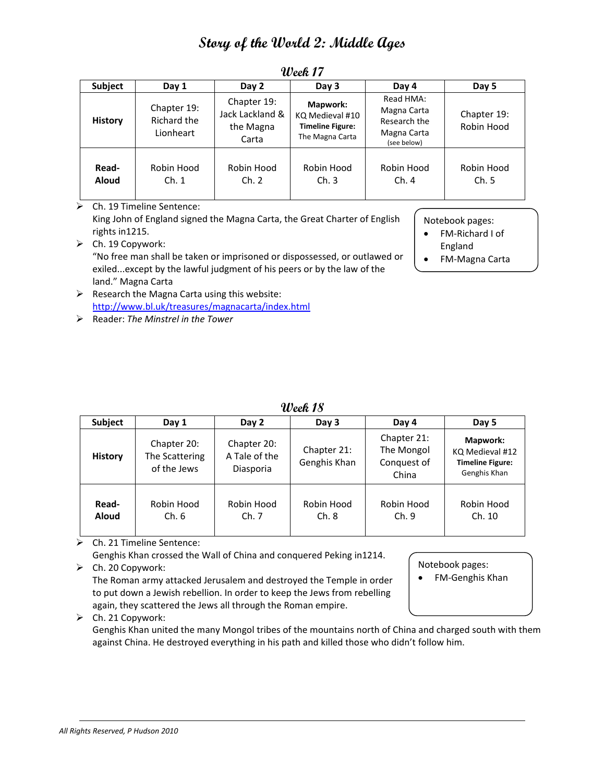| <b>Subject</b>        | Day 1                                   | Day 2                                                | Day 3                                                                     | Day 4                                                                  | Day 5                     |
|-----------------------|-----------------------------------------|------------------------------------------------------|---------------------------------------------------------------------------|------------------------------------------------------------------------|---------------------------|
| <b>History</b>        | Chapter 19:<br>Richard the<br>Lionheart | Chapter 19:<br>Jack Lackland &<br>the Magna<br>Carta | Mapwork:<br>KQ Medieval #10<br><b>Timeline Figure:</b><br>The Magna Carta | Read HMA:<br>Magna Carta<br>Research the<br>Magna Carta<br>(see below) | Chapter 19:<br>Robin Hood |
| Read-<br><b>Aloud</b> | Robin Hood<br>Ch. 1                     | Robin Hood<br>Ch. 2                                  | Robin Hood<br>Ch.3                                                        | Robin Hood<br>Ch.4                                                     | Robin Hood<br>Ch.5        |

**Week 17**

 Ch. 19 Timeline Sentence: King John of England signed the Magna Carta, the Great Charter of English rights in1215.  $\triangleright$  Ch. 19 Copywork: "No free man shall be taken or imprisoned or dispossessed, or outlawed or

exiled...except by the lawful judgment of his peers or by the law of the

Notebook pages:

- FM‐Richard I of England
- FM‐Magna Carta

land." Magna Carta  $\triangleright$  Research the Magna Carta using this website: http://www.bl.uk/treasures/magnacarta/index.html

Reader: *The Minstrel in the Tower*

| Week 18 |  |
|---------|--|
|---------|--|

| Subject               | Day 1                                        | Day 2                                     | Day 3                       | Day 4                                             | Day 5                                                                  |
|-----------------------|----------------------------------------------|-------------------------------------------|-----------------------------|---------------------------------------------------|------------------------------------------------------------------------|
| <b>History</b>        | Chapter 20:<br>The Scattering<br>of the Jews | Chapter 20:<br>A Tale of the<br>Diasporia | Chapter 21:<br>Genghis Khan | Chapter 21:<br>The Mongol<br>Conquest of<br>China | Mapwork:<br>KQ Medieval #12<br><b>Timeline Figure:</b><br>Genghis Khan |
| Read-<br><b>Aloud</b> | Robin Hood<br>Ch.6                           | Robin Hood<br>Ch.7                        | Robin Hood<br>Ch. 8         | Robin Hood<br>Ch.9                                | Robin Hood<br>Ch. 10                                                   |

Ch. 21 Timeline Sentence:

Genghis Khan crossed the Wall of China and conquered Peking in1214.

 $\triangleright$  Ch. 20 Copywork: The Roman army attacked Jerusalem and destroyed the Temple in order to put down a Jewish rebellion. In order to keep the Jews from rebelling

again, they scattered the Jews all through the Roman empire.

 $\triangleright$  Ch. 21 Copywork:

Genghis Khan united the many Mongol tribes of the mountains north of China and charged south with them against China. He destroyed everything in his path and killed those who didn't follow him.

Notebook pages:

FM‐Genghis Khan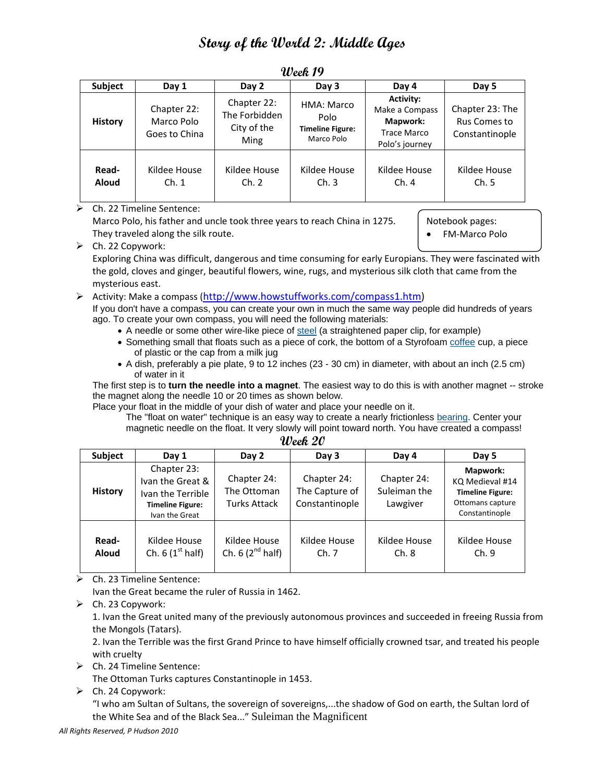| <b>Subject</b>        | Day 1                                      | Day 2                                                      | Day 3                                                       | Day 4                                                                                         | Day 5                                             |
|-----------------------|--------------------------------------------|------------------------------------------------------------|-------------------------------------------------------------|-----------------------------------------------------------------------------------------------|---------------------------------------------------|
| <b>History</b>        | Chapter 22:<br>Marco Polo<br>Goes to China | Chapter 22:<br>The Forbidden<br>City of the<br><b>Ming</b> | HMA: Marco<br>Polo<br><b>Timeline Figure:</b><br>Marco Polo | <b>Activity:</b><br>Make a Compass<br><b>Mapwork:</b><br><b>Trace Marco</b><br>Polo's journey | Chapter 23: The<br>Rus Comes to<br>Constantinople |
| Read-<br><b>Aloud</b> | Kildee House<br>Ch.1                       | Kildee House<br>Ch. 2                                      | Kildee House<br>Ch.3                                        | Kildee House<br>Ch.4                                                                          | Kildee House<br>Ch.5                              |

#### **Week 19**

#### $\triangleright$  Ch. 22 Timeline Sentence:

Marco Polo, his father and uncle took three years to reach China in 1275. They traveled along the silk route.

Notebook pages:

FM‐Marco Polo

 $\triangleright$  Ch. 22 Copywork:

Exploring China was difficult, dangerous and time consuming for early Europians. They were fascinated with the gold, cloves and ginger, beautiful flowers, wine, rugs, and mysterious silk cloth that came from the mysterious east.

#### $\triangleright$  Activity: Make a compass (http://www.howstuffworks.com/compass1.htm)

If you don't have a compass, you can create your own in much the same way people did hundreds of years ago. To create your own compass, you will need the following materials:

- A needle or some other wire-like piece of steel (a straightened paper clip, for example)
- Something small that floats such as a piece of cork, the bottom of a Styrofoam coffee cup, a piece of plastic or the cap from a milk jug
- A dish, preferably a pie plate, 9 to 12 inches (23 30 cm) in diameter, with about an inch (2.5 cm) of water in it

The first step is to **turn the needle into a magnet**. The easiest way to do this is with another magnet -- stroke the magnet along the needle 10 or 20 times as shown below.

Place your float in the middle of your dish of water and place your needle on it.

The "float on water" technique is an easy way to create a nearly frictionless bearing. Center your magnetic needle on the float. It very slowly will point toward north. You have created a compass!

| <b>Subject</b>        | Day 1                                                                                             | Day 2                                             | Day 3                                           | Day 4                                   | Day 5                                                                                        |  |
|-----------------------|---------------------------------------------------------------------------------------------------|---------------------------------------------------|-------------------------------------------------|-----------------------------------------|----------------------------------------------------------------------------------------------|--|
| <b>History</b>        | Chapter 23:<br>Ivan the Great &<br>Ivan the Terrible<br><b>Timeline Figure:</b><br>Ivan the Great | Chapter 24:<br>The Ottoman<br><b>Turks Attack</b> | Chapter 24:<br>The Capture of<br>Constantinople | Chapter 24:<br>Suleiman the<br>Lawgiver | Mapwork:<br>KQ Medieval #14<br><b>Timeline Figure:</b><br>Ottomans capture<br>Constantinople |  |
| Read-<br><b>Aloud</b> | Kildee House<br>Ch. 6 $(1st half)$                                                                | Kildee House<br>Ch. $6(2^{nd}$ half)              | Kildee House<br>Ch.7                            | Kildee House<br>Ch. 8                   | Kildee House<br>Ch.9                                                                         |  |

| Week 20 |  |
|---------|--|
|---------|--|

 $\triangleright$  Ch. 23 Timeline Sentence:

Ivan the Great became the ruler of Russia in 1462.

 $\triangleright$  Ch. 23 Copywork:

1. Ivan the Great united many of the previously autonomous provinces and succeeded in freeing Russia from the Mongols (Tatars).

2. Ivan the Terrible was the first Grand Prince to have himself officially crowned tsar, and treated his people with cruelty

Ch. 24 Timeline Sentence:

The Ottoman Turks captures Constantinople in 1453.

 $\triangleright$  Ch. 24 Copywork:

"I who am Sultan of Sultans, the sovereign of sovereigns,...the shadow of God on earth, the Sultan lord of the White Sea and of the Black Sea..." Suleiman the Magnificent

*All Rights Reserved, P Hudson 2010*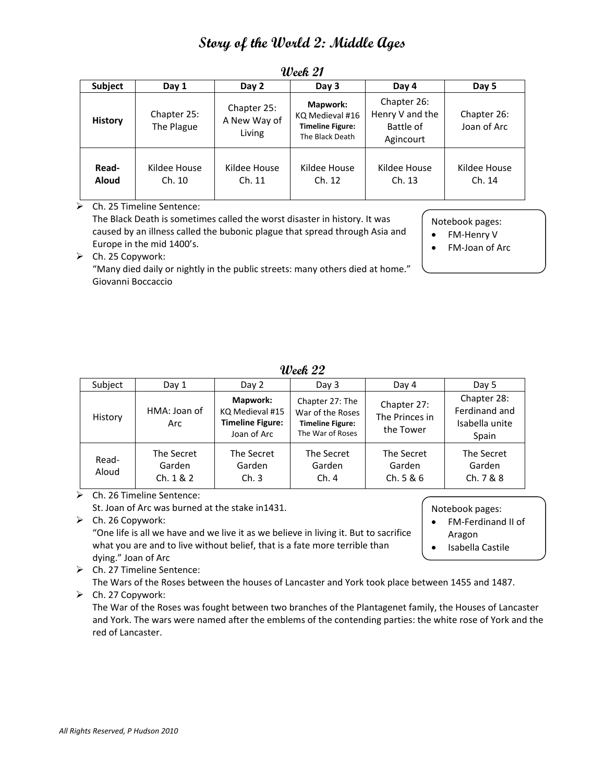| Subject               | Day 1                     | Day 2                                 | Day 3                                                                     | Day 4                                                    | Day 5                      |
|-----------------------|---------------------------|---------------------------------------|---------------------------------------------------------------------------|----------------------------------------------------------|----------------------------|
| <b>History</b>        | Chapter 25:<br>The Plague | Chapter 25:<br>A New Way of<br>Living | Mapwork:<br>KQ Medieval #16<br><b>Timeline Figure:</b><br>The Black Death | Chapter 26:<br>Henry V and the<br>Battle of<br>Agincourt | Chapter 26:<br>Joan of Arc |
| Read-<br><b>Aloud</b> | Kildee House<br>Ch. 10    | Kildee House<br>Ch. 11                | Kildee House<br>Ch. 12                                                    | Kildee House<br>Ch. 13                                   | Kildee House<br>Ch. 14     |

### **Week 21**

Ch. 25 Timeline Sentence:

The Black Death is sometimes called the worst disaster in history. It was caused by an illness called the bubonic plague that spread through Asia and Europe in the mid 1400's.

Notebook pages:

- FM-Henry V
- FM‐Joan of Arc

 $\triangleright$  Ch. 25 Copywork:

"Many died daily or nightly in the public streets: many others died at home." Giovanni Boccaccio

| Subject        | Day 1                             | Day 2                                                                 | Day 3                                                                              | Day 4                                      | Day 5                                                   |  |  |
|----------------|-----------------------------------|-----------------------------------------------------------------------|------------------------------------------------------------------------------------|--------------------------------------------|---------------------------------------------------------|--|--|
| History        | HMA: Joan of<br>Arc               | Mapwork:<br>KQ Medieval #15<br><b>Timeline Figure:</b><br>Joan of Arc | Chapter 27: The<br>War of the Roses<br><b>Timeline Figure:</b><br>The War of Roses | Chapter 27:<br>The Princes in<br>the Tower | Chapter 28:<br>Ferdinand and<br>Isabella unite<br>Spain |  |  |
| Read-<br>Aloud | The Secret<br>Garden<br>Ch. 1 & 2 | The Secret<br>Garden<br>Ch.3                                          | The Secret<br>Garden<br>Ch.4                                                       | The Secret<br>Garden<br>Ch. 5 & 6          | The Secret<br>Garden<br>Ch.7 & 8 & 8                    |  |  |

### **Week 22**

 $\triangleright$  Ch. 26 Timeline Sentence:

St. Joan of Arc was burned at the stake in1431.

 $\triangleright$  Ch. 26 Copywork:

"One life is all we have and we live it as we believe in living it. But to sacrifice what you are and to live without belief, that is a fate more terrible than dying." Joan of Arc

- Notebook pages:
- FM‐Ferdinand II of Aragon
- Isabella Castile

Ch. 27 Timeline Sentence:

The Wars of the Roses between the houses of Lancaster and York took place between 1455 and 1487.

 $\triangleright$  Ch. 27 Copywork:

The War of the Roses was fought between two branches of the Plantagenet family, the Houses of Lancaster and York. The wars were named after the emblems of the contending parties: the white rose of York and the red of Lancaster.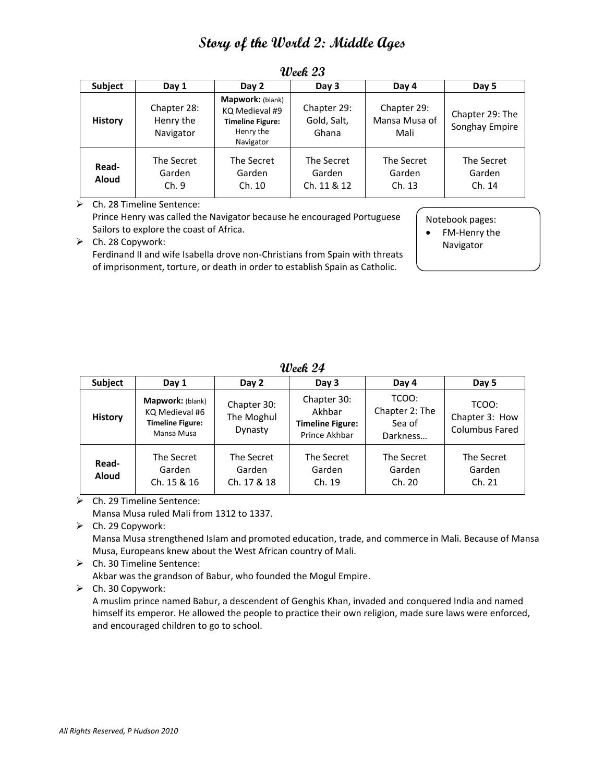| Subject               | Day 1                                 | Day 2                                                                                   | Day 3                               | Day 4                                | Day 5                             |
|-----------------------|---------------------------------------|-----------------------------------------------------------------------------------------|-------------------------------------|--------------------------------------|-----------------------------------|
| <b>History</b>        | Chapter 28:<br>Henry the<br>Navigator | Mapwork: (blank)<br>KQ Medieval #9<br><b>Timeline Figure:</b><br>Henry the<br>Navigator | Chapter 29:<br>Gold, Salt,<br>Ghana | Chapter 29:<br>Mansa Musa of<br>Mali | Chapter 29: The<br>Songhay Empire |
| Read-<br><b>Aloud</b> | The Secret<br>Garden<br>Ch.9          | The Secret<br>Garden<br>Ch. 10                                                          | The Secret<br>Garden<br>Ch. 11 & 12 | The Secret<br>Garden<br>Ch. 13       | The Secret<br>Garden<br>Ch. 14    |

**Week 23**

 Ch. 28 Timeline Sentence: Prince Henry was called the Navigator because he encouraged Portuguese Sailors to explore the coast of Africa.

Notebook pages:

• FM-Henry the Navigator

 $\triangleright$  Ch. 28 Copywork: Ferdinand II and wife Isabella drove non-Christians from Spain with threats of imprisonment, torture, or death in order to establish Spain as Catholic.

**Week 24**

| <b>Subject</b>        | Day 1                                                                       | Day 2                                | Day 3                                                             | Day 4                                         | Day 5                                            |
|-----------------------|-----------------------------------------------------------------------------|--------------------------------------|-------------------------------------------------------------------|-----------------------------------------------|--------------------------------------------------|
| <b>History</b>        | Mapwork: (blank)<br>KQ Medieval #6<br><b>Timeline Figure:</b><br>Mansa Musa | Chapter 30:<br>The Moghul<br>Dynasty | Chapter 30:<br>Akhbar<br><b>Timeline Figure:</b><br>Prince Akhbar | TCOO:<br>Chapter 2: The<br>Sea of<br>Darkness | TCOO:<br>Chapter 3: How<br><b>Columbus Fared</b> |
| Read-<br><b>Aloud</b> | The Secret<br>Garden<br>Ch. 15 & 16                                         | The Secret<br>Garden<br>Ch. 17 & 18  | The Secret<br>Garden<br>Ch. 19                                    | The Secret<br>Garden<br>Ch. 20                | The Secret<br>Garden<br>Ch. 21                   |

 $\triangleright$  Ch. 29 Timeline Sentence: Mansa Musa ruled Mali from 1312 to 1337.

 $\triangleright$  Ch. 29 Copywork: Mansa Musa strengthened Islam and promoted education, trade, and commerce in Mali. Because of Mansa Musa, Europeans knew about the West African country of Mali.

Ch. 30 Timeline Sentence:

Akbar was the grandson of Babur, who founded the Mogul Empire.

 $\triangleright$  Ch. 30 Copywork:

A muslim prince named Babur, a descendent of Genghis Khan, invaded and conquered India and named himself its emperor. He allowed the people to practice their own religion, made sure laws were enforced, and encouraged children to go to school.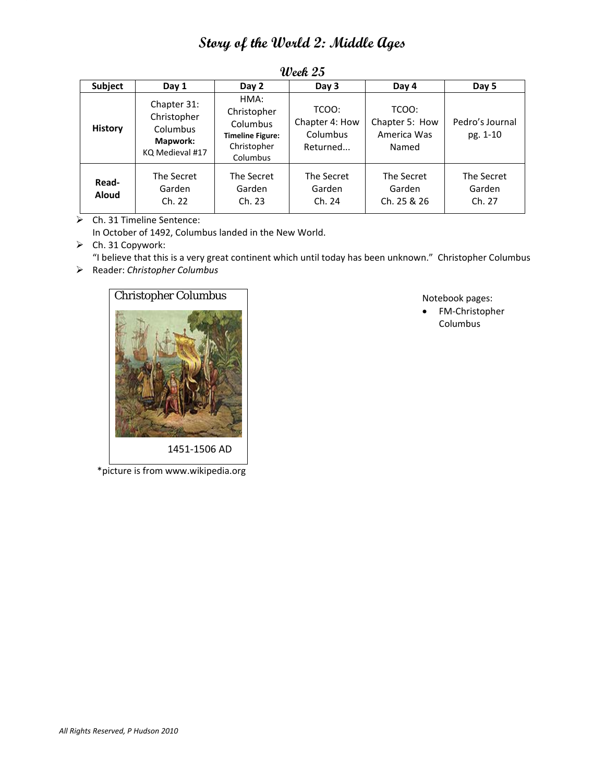| Subject               | Day 1                                                                        | Day 2                                                                                 | Day 3                                           | Day 4                                           | Day 5                          |
|-----------------------|------------------------------------------------------------------------------|---------------------------------------------------------------------------------------|-------------------------------------------------|-------------------------------------------------|--------------------------------|
| <b>History</b>        | Chapter 31:<br>Christopher<br>Columbus<br><b>Mapwork:</b><br>KQ Medieval #17 | HMA:<br>Christopher<br>Columbus<br><b>Timeline Figure:</b><br>Christopher<br>Columbus | TCOO:<br>Chapter 4: How<br>Columbus<br>Returned | TCOO:<br>Chapter 5: How<br>America Was<br>Named | Pedro's Journal<br>pg. 1-10    |
| Read-<br><b>Aloud</b> | The Secret<br>Garden<br>Ch. 22                                               | The Secret<br>Garden<br>Ch. 23                                                        | The Secret<br>Garden<br>Ch. 24                  | The Secret<br>Garden<br>Ch. 25 & 26             | The Secret<br>Garden<br>Ch. 27 |

**Week 25**

Ch. 31 Timeline Sentence:

In October of 1492, Columbus landed in the New World.

 $\triangleright$  Ch. 31 Copywork:

"I believe that this is a very great continent which until today has been unknown." Christopher Columbus

Reader: *Christopher Columbus*



\*picture is from www.wikipedia.org

Notebook pages:

 FM‐Christopher Columbus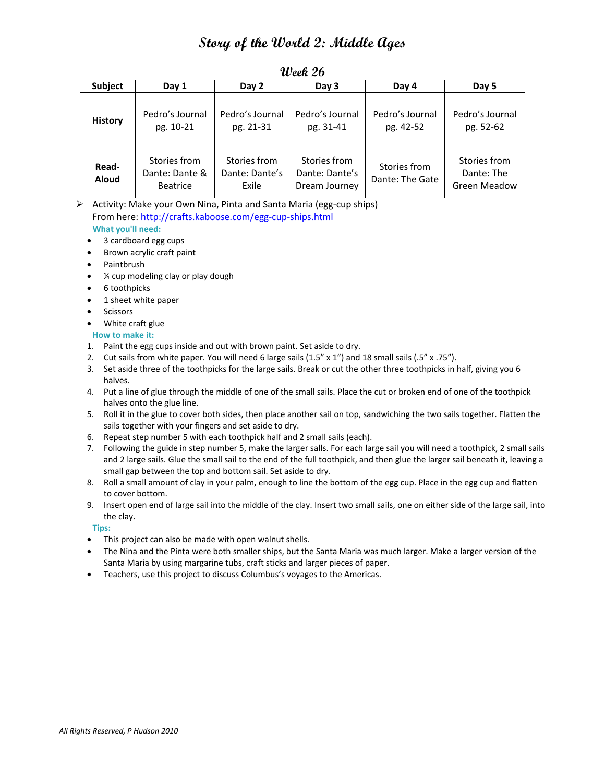| <b>Subject</b>        | Day 1                                             | Day 2                                   | Day 3                                           | Day 4                           | Day 5                                             |
|-----------------------|---------------------------------------------------|-----------------------------------------|-------------------------------------------------|---------------------------------|---------------------------------------------------|
| <b>History</b>        | Pedro's Journal<br>pg. 10-21                      | Pedro's Journal<br>pg. 21-31            | Pedro's Journal<br>pg. 31-41                    | Pedro's Journal<br>pg. 42-52    | Pedro's Journal<br>pg. 52-62                      |
| Read-<br><b>Aloud</b> | Stories from<br>Dante: Dante &<br><b>Beatrice</b> | Stories from<br>Dante: Dante's<br>Exile | Stories from<br>Dante: Dante's<br>Dream Journey | Stories from<br>Dante: The Gate | Stories from<br>Dante: The<br><b>Green Meadow</b> |

### **Week 26**

 Activity: Make your Own Nina, Pinta and Santa Maria (egg‐cup ships) From here: http://crafts.kaboose.com/egg-cup-ships.html

### **What you'll need:**

- 3 cardboard egg cups
- Brown acrylic craft paint
- Paintbrush
- ¼ cup modeling clay or play dough
- 6 toothpicks
- 1 sheet white paper
- **•** Scissors
- White craft glue

#### **How to make it:**

- 1. Paint the egg cups inside and out with brown paint. Set aside to dry.
- 2. Cut sails from white paper. You will need 6 large sails (1.5" x 1") and 18 small sails (.5" x .75").
- 3. Set aside three of the toothpicks for the large sails. Break or cut the other three toothpicks in half, giving you 6 halves.
- 4. Put a line of glue through the middle of one of the small sails. Place the cut or broken end of one of the toothpick halves onto the glue line.
- 5. Roll it in the glue to cover both sides, then place another sail on top, sandwiching the two sails together. Flatten the sails together with your fingers and set aside to dry.
- 6. Repeat step number 5 with each toothpick half and 2 small sails (each).
- 7. Following the guide in step number 5, make the larger salls. For each large sail you will need a toothpick, 2 small sails and 2 large sails. Glue the small sail to the end of the full toothpick, and then glue the larger sail beneath it, leaving a small gap between the top and bottom sail. Set aside to dry.
- 8. Roll a small amount of clay in your palm, enough to line the bottom of the egg cup. Place in the egg cup and flatten to cover bottom.
- 9. Insert open end of large sail into the middle of the clay. Insert two small sails, one on either side of the large sail, into the clay.

#### **Tips:**

- This project can also be made with open walnut shells.
- The Nina and the Pinta were both smaller ships, but the Santa Maria was much larger. Make a larger version of the Santa Maria by using margarine tubs, craft sticks and larger pieces of paper.
- Teachers, use this project to discuss Columbus's voyages to the Americas.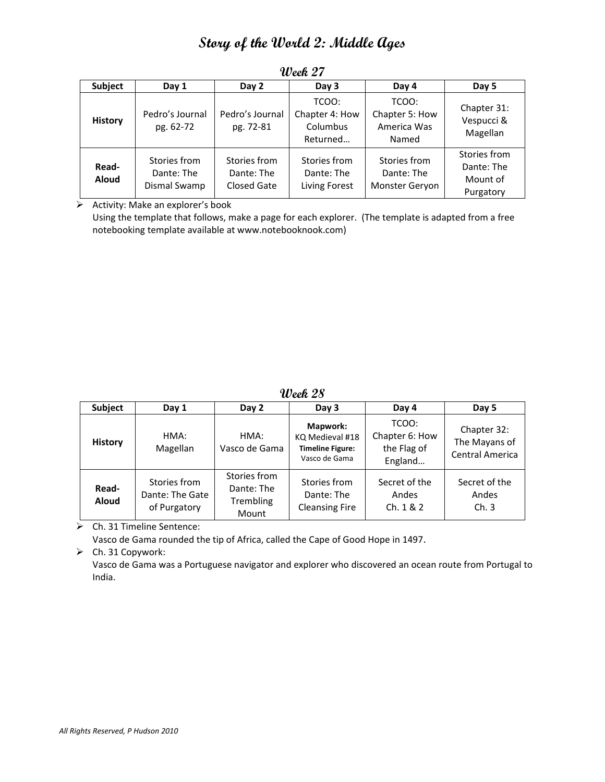| Subject               | Day 1                                      | Day 2                                            | Day 3                                           | Day 4                                           | Day 5                                               |
|-----------------------|--------------------------------------------|--------------------------------------------------|-------------------------------------------------|-------------------------------------------------|-----------------------------------------------------|
| <b>History</b>        | Pedro's Journal<br>pg. 62-72               | Pedro's Journal<br>pg. 72-81                     | TCOO:<br>Chapter 4: How<br>Columbus<br>Returned | TCOO:<br>Chapter 5: How<br>America Was<br>Named | Chapter 31:<br>Vespucci &<br>Magellan               |
| Read-<br><b>Aloud</b> | Stories from<br>Dante: The<br>Dismal Swamp | Stories from<br>Dante: The<br><b>Closed Gate</b> | Stories from<br>Dante: The<br>Living Forest     | Stories from<br>Dante: The<br>Monster Geryon    | Stories from<br>Dante: The<br>Mount of<br>Purgatory |

**Week 27**

 $\triangleright$  Activity: Make an explorer's book

Using the template that follows, make a page for each explorer. (The template is adapted from a free notebooking template available at www.notebooknook.com)

**Week 28**

| Subject               | Day 1                                           | Day 2                                            | Day 3                                                                   | Day 4                                             | Day 5                                                  |
|-----------------------|-------------------------------------------------|--------------------------------------------------|-------------------------------------------------------------------------|---------------------------------------------------|--------------------------------------------------------|
| <b>History</b>        | HMA:<br>Magellan                                | HMA:<br>Vasco de Gama                            | Mapwork:<br>KQ Medieval #18<br><b>Timeline Figure:</b><br>Vasco de Gama | TCOO:<br>Chapter 6: How<br>the Flag of<br>England | Chapter 32:<br>The Mayans of<br><b>Central America</b> |
| Read-<br><b>Aloud</b> | Stories from<br>Dante: The Gate<br>of Purgatory | Stories from<br>Dante: The<br>Trembling<br>Mount | Stories from<br>Dante: The<br><b>Cleansing Fire</b>                     | Secret of the<br>Andes<br>Ch. 1 & 2               | Secret of the<br>Andes<br>Ch.3                         |

Ch. 31 Timeline Sentence:

Vasco de Gama rounded the tip of Africa, called the Cape of Good Hope in 1497.

 $\triangleright$  Ch. 31 Copywork:

Vasco de Gama was a Portuguese navigator and explorer who discovered an ocean route from Portugal to India.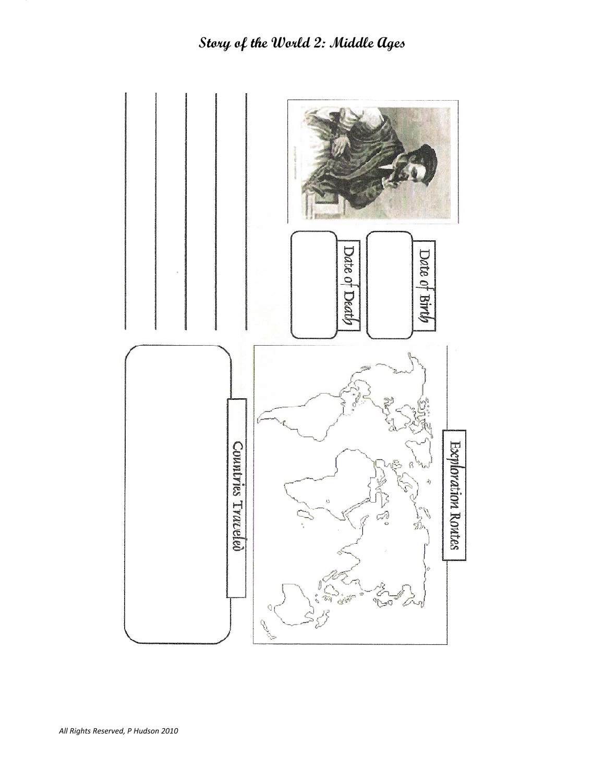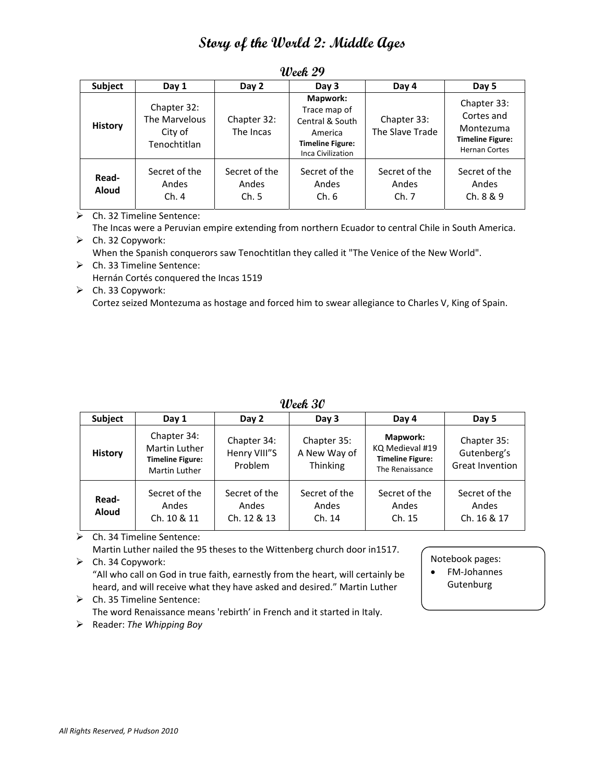| Subject               | Day 1                                                   | Day 2                          | Day 3                                                                                                  | Day 4                          | Day 5                                                                                     |
|-----------------------|---------------------------------------------------------|--------------------------------|--------------------------------------------------------------------------------------------------------|--------------------------------|-------------------------------------------------------------------------------------------|
| <b>History</b>        | Chapter 32:<br>The Marvelous<br>City of<br>Tenochtitlan | Chapter 32:<br>The Incas       | Mapwork:<br>Trace map of<br>Central & South<br>America<br><b>Timeline Figure:</b><br>Inca Civilization | Chapter 33:<br>The Slave Trade | Chapter 33:<br>Cortes and<br>Montezuma<br><b>Timeline Figure:</b><br><b>Hernan Cortes</b> |
| Read-<br><b>Aloud</b> | Secret of the<br>Andes<br>Ch.4                          | Secret of the<br>Andes<br>Ch.5 | Secret of the<br>Andes<br>Ch.6                                                                         | Secret of the<br>Andes<br>Ch.7 | Secret of the<br>Andes<br>Ch. 8 & 9                                                       |

**Week 29**

Ch. 32 Timeline Sentence:

The Incas were a Peruvian empire extending from northern Ecuador to central Chile in South America.  $\triangleright$  Ch. 32 Copywork:

When the Spanish conquerors saw Tenochtitlan they called it "The Venice of the New World".

- Ch. 33 Timeline Sentence: Hernán Cortés conquered the Incas 1519
- $\triangleright$  Ch. 33 Copywork: Cortez seized Montezuma as hostage and forced him to swear allegiance to Charles V, King of Spain.

**Week 30**

| <b>Subject</b>        | Day 1                                                                    | Day 2                                  | Day 3                                   | Day 4                                                                            | Day 5                                                |  |
|-----------------------|--------------------------------------------------------------------------|----------------------------------------|-----------------------------------------|----------------------------------------------------------------------------------|------------------------------------------------------|--|
| <b>History</b>        | Chapter 34:<br>Martin Luther<br><b>Timeline Figure:</b><br>Martin Luther | Chapter 34:<br>Henry VIII"S<br>Problem | Chapter 35:<br>A New Way of<br>Thinking | <b>Mapwork:</b><br>KQ Medieval #19<br><b>Timeline Figure:</b><br>The Renaissance | Chapter 35:<br>Gutenberg's<br><b>Great Invention</b> |  |
| Read-<br><b>Aloud</b> | Secret of the<br>Andes<br>Ch. 10 & 11                                    | Secret of the<br>Andes<br>Ch. 12 & 13  | Secret of the<br>Andes<br>Ch. 14        | Secret of the<br>Andes<br>Ch. 15                                                 | Secret of the<br>Andes<br>Ch. 16 & 17                |  |

### Ch. 34 Timeline Sentence:

Martin Luther nailed the 95 theses to the Wittenberg church door in1517.  $\triangleright$  Ch. 34 Copywork:

"All who call on God in true faith, earnestly from the heart, will certainly be heard, and will receive what they have asked and desired." Martin Luther

- $\triangleright$  Ch. 35 Timeline Sentence: The word Renaissance means 'rebirth' in French and it started in Italy.
- Reader: *The Whipping Boy*

#### Notebook pages:

 FM‐Johannes **Gutenburg**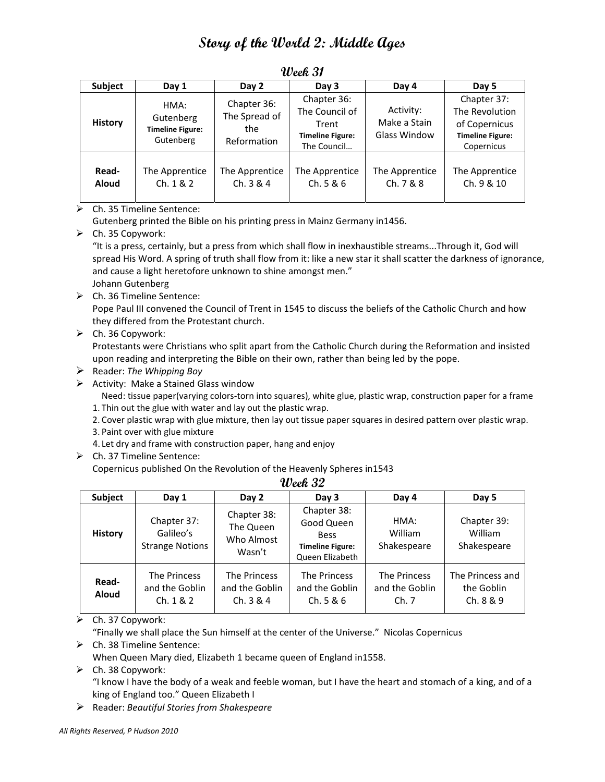| <b>Subject</b>        | Day 1                                                     | Day 2                                              | Day 3                                                                            | Day 4                                            | Day 5                                                                                   |
|-----------------------|-----------------------------------------------------------|----------------------------------------------------|----------------------------------------------------------------------------------|--------------------------------------------------|-----------------------------------------------------------------------------------------|
| <b>History</b>        | HMA:<br>Gutenberg<br><b>Timeline Figure:</b><br>Gutenberg | Chapter 36:<br>The Spread of<br>the<br>Reformation | Chapter 36:<br>The Council of<br>Trent<br><b>Timeline Figure:</b><br>The Council | Activity:<br>Make a Stain<br><b>Glass Window</b> | Chapter 37:<br>The Revolution<br>of Copernicus<br><b>Timeline Figure:</b><br>Copernicus |
| Read-<br><b>Aloud</b> | The Apprentice<br>Ch. 1 & 2                               | The Apprentice<br>Ch. 3 & 4                        | The Apprentice<br>Ch. 5 & 6                                                      | The Apprentice<br>Ch. 7 & 8                      | The Apprentice<br>Ch. 9 & 10                                                            |

**Week 31**

 $\triangleright$  Ch. 35 Timeline Sentence:

Gutenberg printed the Bible on his printing press in Mainz Germany in1456.

 $\triangleright$  Ch. 35 Copywork:

"It is a press, certainly, but a press from which shall flow in inexhaustible streams...Through it, God will spread His Word. A spring of truth shall flow from it: like a new star it shall scatter the darkness of ignorance, and cause a light heretofore unknown to shine amongst men."

Johann Gutenberg

 $\triangleright$  Ch. 36 Timeline Sentence:

Pope Paul III convened the Council of Trent in 1545 to discuss the beliefs of the Catholic Church and how they differed from the Protestant church.

 $\triangleright$  Ch. 36 Copywork:

Protestants were Christians who split apart from the Catholic Church during the Reformation and insisted upon reading and interpreting the Bible on their own, rather than being led by the pope.

- Reader: *The Whipping Boy*
- > Activity: Make a Stained Glass window

Need: tissue paper(varying colors‐torn into squares), white glue, plastic wrap, construction paper for a frame 1. Thin out the glue with water and lay out the plastic wrap.

- 2. Cover plastic wrap with glue mixture, then lay out tissue paper squares in desired pattern over plastic wrap.
- 3. Paint over with glue mixture
- 4. Let dry and frame with construction paper, hang and enjoy
- Ch. 37 Timeline Sentence:

Copernicus published On the Revolution of the Heavenly Spheres in1543

| <b>Subject</b>        | Day 1                                              | Day 2                                            | Day 3                                                                                  | Day 4                                  | Day 5                                        |  |
|-----------------------|----------------------------------------------------|--------------------------------------------------|----------------------------------------------------------------------------------------|----------------------------------------|----------------------------------------------|--|
| <b>History</b>        | Chapter 37:<br>Galileo's<br><b>Strange Notions</b> | Chapter 38:<br>The Queen<br>Who Almost<br>Wasn't | Chapter 38:<br>Good Queen<br><b>Bess</b><br><b>Timeline Figure:</b><br>Queen Elizabeth | HMA:<br>William<br>Shakespeare         | Chapter 39:<br><b>William</b><br>Shakespeare |  |
| Read-<br><b>Aloud</b> | The Princess<br>and the Goblin<br>Ch. 1 & 2        | The Princess<br>and the Goblin<br>Ch. 3 & 4      | The Princess<br>and the Goblin<br>Ch. 5 & 6                                            | The Princess<br>and the Goblin<br>Ch.7 | The Princess and<br>the Goblin<br>Ch. 8 & 9  |  |

**Week 32**

 $\triangleright$  Ch. 37 Copywork:

"Finally we shall place the Sun himself at the center of the Universe." Nicolas Copernicus

Ch. 38 Timeline Sentence:

When Queen Mary died, Elizabeth 1 became queen of England in1558.

 $\triangleright$  Ch. 38 Copywork:

"I know I have the body of a weak and feeble woman, but I have the heart and stomach of a king, and of a king of England too." Queen Elizabeth I

Reader: *Beautiful Stories from Shakespeare*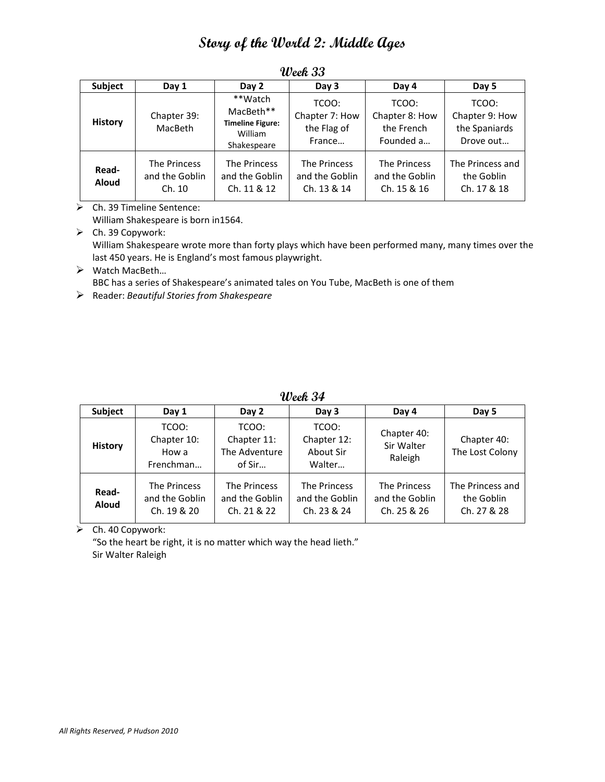| Subject               | Day 1                                    | Day 2                                                                     | Day 3                                            | Day 4                                              | Day 5                                                 |
|-----------------------|------------------------------------------|---------------------------------------------------------------------------|--------------------------------------------------|----------------------------------------------------|-------------------------------------------------------|
| <b>History</b>        | Chapter 39:<br>MacBeth                   | **Watch<br>MacBeth**<br><b>Timeline Figure:</b><br>William<br>Shakespeare | TCOO:<br>Chapter 7: How<br>the Flag of<br>France | TCOO:<br>Chapter 8: How<br>the French<br>Founded a | TCOO:<br>Chapter 9: How<br>the Spaniards<br>Drove out |
| Read-<br><b>Aloud</b> | The Princess<br>and the Goblin<br>Ch. 10 | The Princess<br>and the Goblin<br>Ch. 11 & 12                             | The Princess<br>and the Goblin<br>Ch. 13 & 14    | The Princess<br>and the Goblin<br>Ch. 15 & 16      | The Princess and<br>the Goblin<br>Ch. 17 & 18         |

**Week 33**

Ch. 39 Timeline Sentence:

William Shakespeare is born in1564.

 $\triangleright$  Ch. 39 Copywork: William Shakespeare wrote more than forty plays which have been performed many, many times over the last 450 years. He is England's most famous playwright.

 Watch MacBeth… BBC has a series of Shakespeare's animated tales on You Tube, MacBeth is one of them

Reader: *Beautiful Stories from Shakespeare*

**Week 34**

| <b>Subject</b>        | Day 1                                         | Day 2                                           | Day 3                                         | Day 4                                         | Day 5                                         |
|-----------------------|-----------------------------------------------|-------------------------------------------------|-----------------------------------------------|-----------------------------------------------|-----------------------------------------------|
| <b>History</b>        | TCOO:<br>Chapter 10:<br>How a<br>Frenchman    | TCOO:<br>Chapter 11:<br>The Adventure<br>of Sir | TCOO:<br>Chapter 12:<br>About Sir<br>Walter   | Chapter 40:<br>Sir Walter<br>Raleigh          | Chapter 40:<br>The Lost Colony                |
| Read-<br><b>Aloud</b> | The Princess<br>and the Goblin<br>Ch. 19 & 20 | The Princess<br>and the Goblin<br>Ch. 21 & 22   | The Princess<br>and the Goblin<br>Ch. 23 & 24 | The Princess<br>and the Goblin<br>Ch. 25 & 26 | The Princess and<br>the Goblin<br>Ch. 27 & 28 |

 $\triangleright$  Ch. 40 Copywork:

"So the heart be right, it is no matter which way the head lieth." Sir Walter Raleigh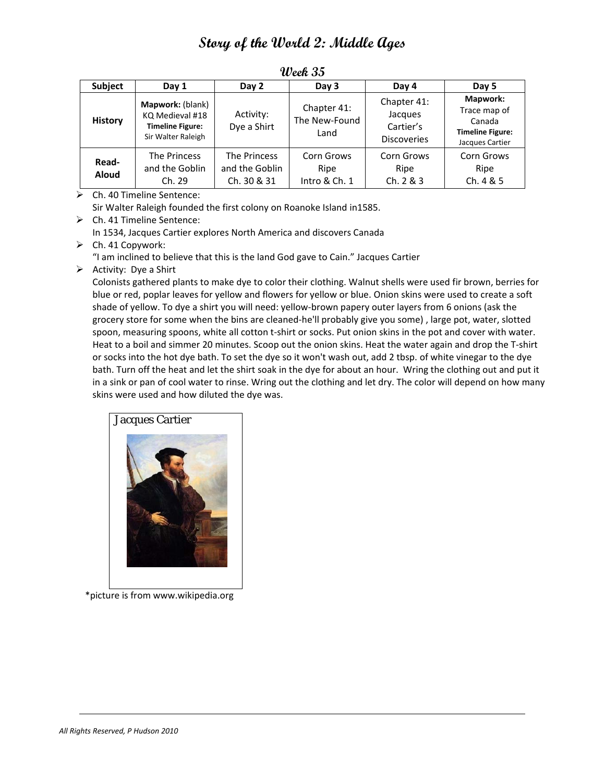| <b>Subject</b>        | Day 1                                                                                | Day 2                                         | Day 3                                | Day 4                                                     | Day 5                                                                                   |
|-----------------------|--------------------------------------------------------------------------------------|-----------------------------------------------|--------------------------------------|-----------------------------------------------------------|-----------------------------------------------------------------------------------------|
| <b>History</b>        | Mapwork: (blank)<br>KQ Medieval #18<br><b>Timeline Figure:</b><br>Sir Walter Raleigh | Activity:<br>Dye a Shirt                      | Chapter 41:<br>The New-Found<br>Land | Chapter 41:<br>Jacques<br>Cartier's<br><b>Discoveries</b> | <b>Mapwork:</b><br>Trace map of<br>Canada<br><b>Timeline Figure:</b><br>Jacques Cartier |
| Read-<br><b>Aloud</b> | The Princess<br>and the Goblin<br>Ch. 29                                             | The Princess<br>and the Goblin<br>Ch. 30 & 31 | Corn Grows<br>Ripe<br>Intro & Ch. 1  | Corn Grows<br>Ripe<br>Ch. 2 & 3                           | Corn Grows<br>Ripe<br>Ch.4 & 5                                                          |

**Week 35**

 $\triangleright$  Ch. 40 Timeline Sentence:

Sir Walter Raleigh founded the first colony on Roanoke Island in1585.

Ch. 41 Timeline Sentence:

In 1534, Jacques Cartier explores North America and discovers Canada

- $\triangleright$  Ch. 41 Copywork:
	- "I am inclined to believe that this is the land God gave to Cain." Jacques Cartier
- $\triangleright$  Activity: Dye a Shirt

Colonists gathered plants to make dye to color their clothing. Walnut shells were used fir brown, berries for blue or red, poplar leaves for yellow and flowers for yellow or blue. Onion skins were used to create a soft shade of yellow. To dye a shirt you will need: yellow‐brown papery outer layers from 6 onions (ask the grocery store for some when the bins are cleaned-he'll probably give you some), large pot, water, slotted spoon, measuring spoons, white all cotton t-shirt or socks. Put onion skins in the pot and cover with water. Heat to a boil and simmer 20 minutes. Scoop out the onion skins. Heat the water again and drop the T‐shirt or socks into the hot dye bath. To set the dye so it won't wash out, add 2 tbsp. of white vinegar to the dye bath. Turn off the heat and let the shirt soak in the dye for about an hour. Wring the clothing out and put it in a sink or pan of cool water to rinse. Wring out the clothing and let dry. The color will depend on how many skins were used and how diluted the dye was.

![](_page_20_Picture_11.jpeg)

\*picture is from www.wikipedia.org